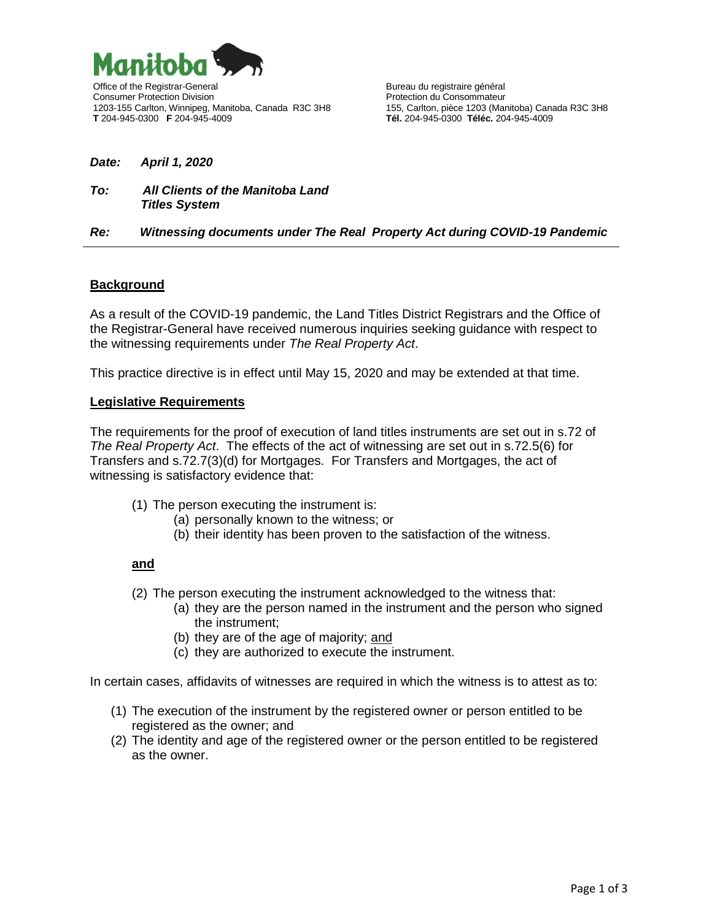

Consumer Protection Division<br>1203-155 Carlton, Winnipeg, Manitoba, Canada R3C 3H8 155, Carlton, pièce 1203 (Manitoba) Canada R3C 3H8 1203-155 Carlton, Winnipeg, Manitoba, Canada R3C 3H8 **T** 204-945-0300 **F** 204-945-4009 **Tél.** 204-945-0300 **Téléc.** 204-945-4009

#### *Date: April 1, 2020*

#### *To: All Clients of the Manitoba Land Titles System*

### *Re: Witnessing documents under The Real Property Act during COVID-19 Pandemic*

### **Background**

As a result of the COVID-19 pandemic, the Land Titles District Registrars and the Office of the Registrar-General have received numerous inquiries seeking guidance with respect to the witnessing requirements under *The Real Property Act*.

This practice directive is in effect until May 15, 2020 and may be extended at that time.

#### **Legislative Requirements**

The requirements for the proof of execution of land titles instruments are set out in s.72 of *The Real Property Act*. The effects of the act of witnessing are set out in s.72.5(6) for Transfers and s.72.7(3)(d) for Mortgages. For Transfers and Mortgages, the act of witnessing is satisfactory evidence that:

- (1) The person executing the instrument is:
	- (a) personally known to the witness; or
	- (b) their identity has been proven to the satisfaction of the witness.

### **and**

- (2) The person executing the instrument acknowledged to the witness that:
	- (a) they are the person named in the instrument and the person who signed the instrument;
	- (b) they are of the age of majority; and
	- (c) they are authorized to execute the instrument.

In certain cases, affidavits of witnesses are required in which the witness is to attest as to:

- (1) The execution of the instrument by the registered owner or person entitled to be registered as the owner; and
- (2) The identity and age of the registered owner or the person entitled to be registered as the owner.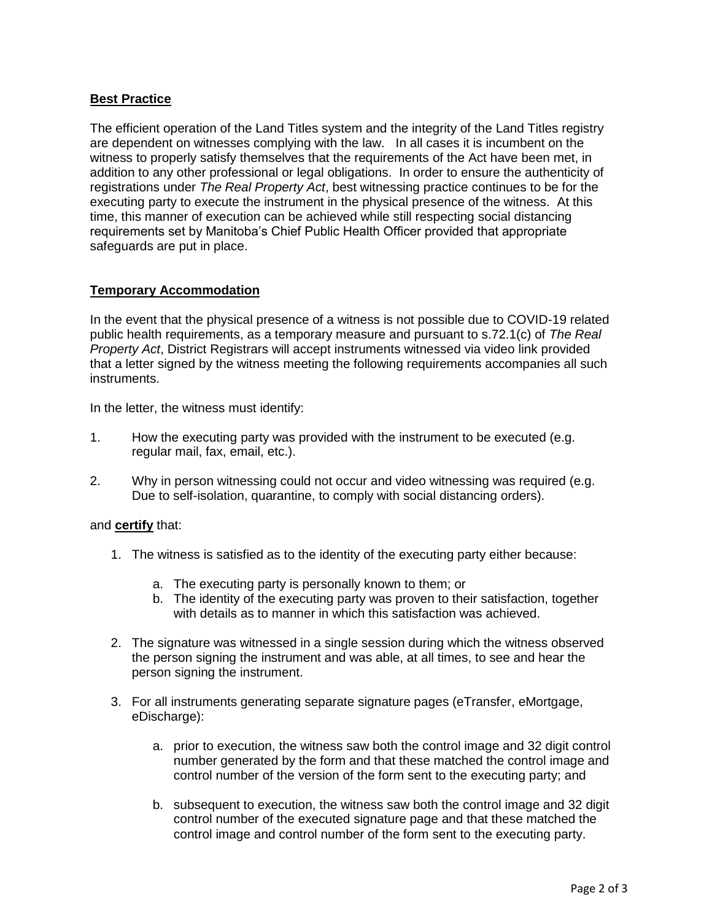# **Best Practice**

The efficient operation of the Land Titles system and the integrity of the Land Titles registry are dependent on witnesses complying with the law. In all cases it is incumbent on the witness to properly satisfy themselves that the requirements of the Act have been met, in addition to any other professional or legal obligations. In order to ensure the authenticity of registrations under *The Real Property Act*, best witnessing practice continues to be for the executing party to execute the instrument in the physical presence of the witness. At this time, this manner of execution can be achieved while still respecting social distancing requirements set by Manitoba's Chief Public Health Officer provided that appropriate safeguards are put in place.

## **Temporary Accommodation**

In the event that the physical presence of a witness is not possible due to COVID-19 related public health requirements, as a temporary measure and pursuant to s.72.1(c) of *The Real Property Act*, District Registrars will accept instruments witnessed via video link provided that a letter signed by the witness meeting the following requirements accompanies all such instruments.

In the letter, the witness must identify:

- 1. How the executing party was provided with the instrument to be executed (e.g. regular mail, fax, email, etc.).
- 2. Why in person witnessing could not occur and video witnessing was required (e.g. Due to self-isolation, quarantine, to comply with social distancing orders).

### and **certify** that:

- 1. The witness is satisfied as to the identity of the executing party either because:
	- a. The executing party is personally known to them; or
	- b. The identity of the executing party was proven to their satisfaction, together with details as to manner in which this satisfaction was achieved.
- 2. The signature was witnessed in a single session during which the witness observed the person signing the instrument and was able, at all times, to see and hear the person signing the instrument.
- 3. For all instruments generating separate signature pages (eTransfer, eMortgage, eDischarge):
	- a. prior to execution, the witness saw both the control image and 32 digit control number generated by the form and that these matched the control image and control number of the version of the form sent to the executing party; and
	- b. subsequent to execution, the witness saw both the control image and 32 digit control number of the executed signature page and that these matched the control image and control number of the form sent to the executing party.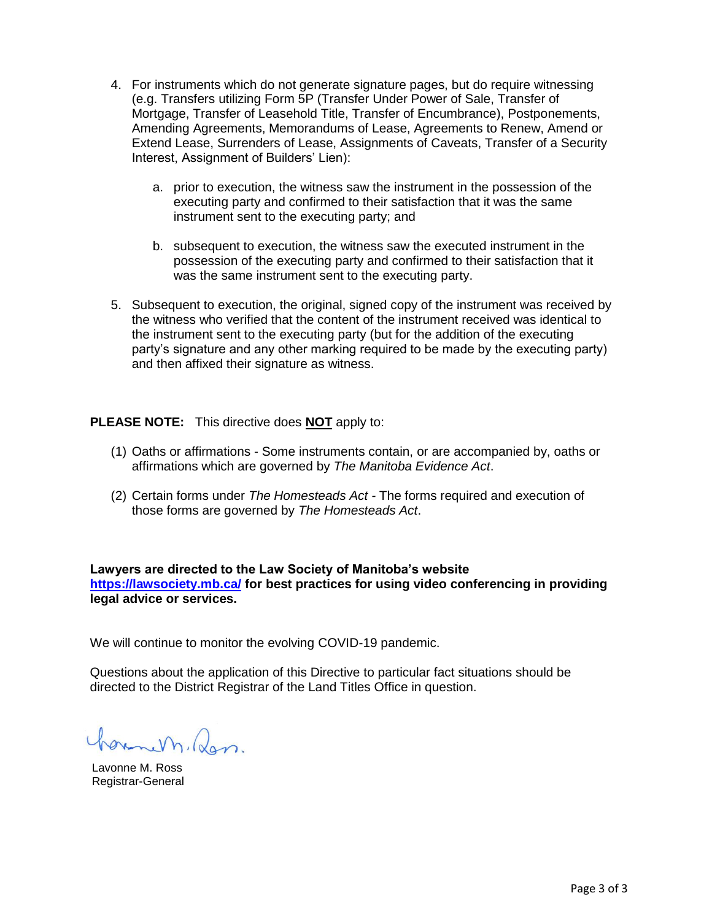- 4. For instruments which do not generate signature pages, but do require witnessing (e.g. Transfers utilizing Form 5P (Transfer Under Power of Sale, Transfer of Mortgage, Transfer of Leasehold Title, Transfer of Encumbrance), Postponements, Amending Agreements, Memorandums of Lease, Agreements to Renew, Amend or Extend Lease, Surrenders of Lease, Assignments of Caveats, Transfer of a Security Interest, Assignment of Builders' Lien):
	- a. prior to execution, the witness saw the instrument in the possession of the executing party and confirmed to their satisfaction that it was the same instrument sent to the executing party; and
	- b. subsequent to execution, the witness saw the executed instrument in the possession of the executing party and confirmed to their satisfaction that it was the same instrument sent to the executing party.
- 5. Subsequent to execution, the original, signed copy of the instrument was received by the witness who verified that the content of the instrument received was identical to the instrument sent to the executing party (but for the addition of the executing party's signature and any other marking required to be made by the executing party) and then affixed their signature as witness.

**PLEASE NOTE:** This directive does **NOT** apply to:

- (1) Oaths or affirmations Some instruments contain, or are accompanied by, oaths or affirmations which are governed by *The Manitoba Evidence Act*.
- (2) Certain forms under *The Homesteads Act -* The forms required and execution of those forms are governed by *The Homesteads Act*.

**Lawyers are directed to the Law Society of Manitoba's website <https://lawsociety.mb.ca/> for best practices for using video conferencing in providing legal advice or services.**

We will continue to monitor the evolving COVID-19 pandemic.

Questions about the application of this Directive to particular fact situations should be directed to the District Registrar of the Land Titles Office in question.

ormen, Ran.

Lavonne M. Ross Registrar-General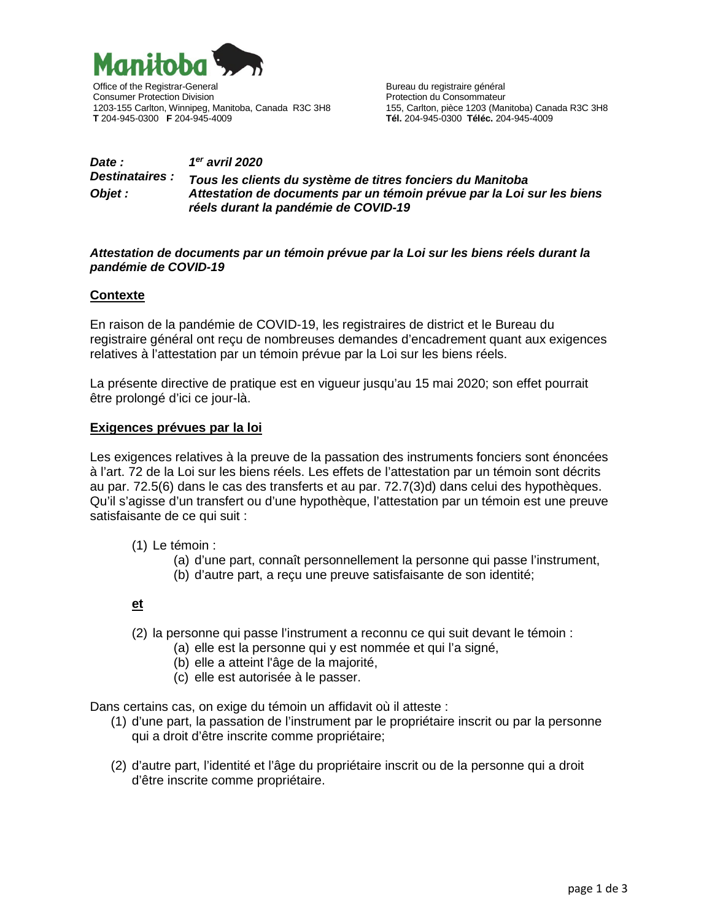

Office of the Registrar-General and a strategies of the Registrar-General and a strategies of the Registrar-General and a strategies of the Bureau du registraire général Consumer Protection Division<br>1203-155 Carlton, Winnipeg, Manitoba, Canada R3C 3H8 155, Carlton, pièce 1203 (Manitoba) Canada R3C 3H8 1203-155 Carlton, Winnipeg, Manitoba, Canada R3C 3H8 **T** 204-945-0300 **F** 204-945-4009 **Tél.** 204-945-0300 **Téléc.** 204-945-4009

### *Date : 1er avril 2020 Destinataires : Tous les clients du système de titres fonciers du Manitoba Objet : Attestation de documents par un témoin prévue par la Loi sur les biens réels durant la pandémie de COVID-19*

#### *Attestation de documents par un témoin prévue par la Loi sur les biens réels durant la pandémie de COVID-19*

### **Contexte**

En raison de la pandémie de COVID-19, les registraires de district et le Bureau du registraire général ont reçu de nombreuses demandes d'encadrement quant aux exigences relatives à l'attestation par un témoin prévue par la Loi sur les biens réels.

La présente directive de pratique est en vigueur jusqu'au 15 mai 2020; son effet pourrait être prolongé d'ici ce jour-là.

#### **Exigences prévues par la loi**

Les exigences relatives à la preuve de la passation des instruments fonciers sont énoncées à l'art. 72 de la Loi sur les biens réels. Les effets de l'attestation par un témoin sont décrits au par. 72.5(6) dans le cas des transferts et au par. 72.7(3)d) dans celui des hypothèques. Qu'il s'agisse d'un transfert ou d'une hypothèque, l'attestation par un témoin est une preuve satisfaisante de ce qui suit :

- (1) Le témoin :
	- (a) d'une part, connaît personnellement la personne qui passe l'instrument,
	- (b) d'autre part, a reçu une preuve satisfaisante de son identité;

### **et**

- (2) la personne qui passe l'instrument a reconnu ce qui suit devant le témoin :
	- (a) elle est la personne qui y est nommée et qui l'a signé,
	- (b) elle a atteint l'âge de la majorité,
	- (c) elle est autorisée à le passer.

Dans certains cas, on exige du témoin un affidavit où il atteste :

- (1) d'une part, la passation de l'instrument par le propriétaire inscrit ou par la personne qui a droit d'être inscrite comme propriétaire;
- (2) d'autre part, l'identité et l'âge du propriétaire inscrit ou de la personne qui a droit d'être inscrite comme propriétaire.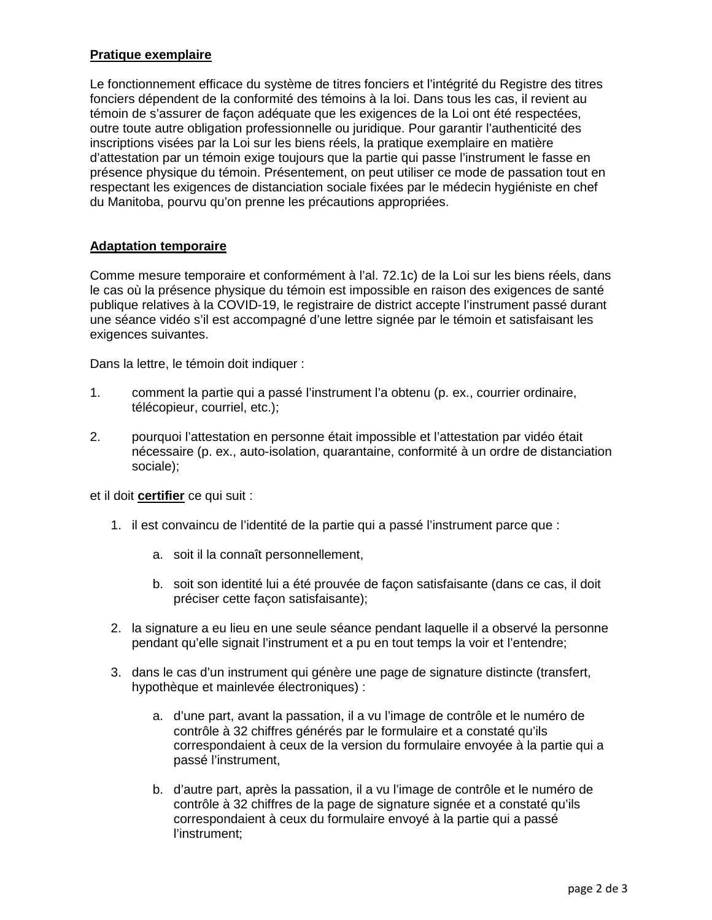## **Pratique exemplaire**

Le fonctionnement efficace du système de titres fonciers et l'intégrité du Registre des titres fonciers dépendent de la conformité des témoins à la loi. Dans tous les cas, il revient au témoin de s'assurer de façon adéquate que les exigences de la Loi ont été respectées, outre toute autre obligation professionnelle ou juridique. Pour garantir l'authenticité des inscriptions visées par la Loi sur les biens réels, la pratique exemplaire en matière d'attestation par un témoin exige toujours que la partie qui passe l'instrument le fasse en présence physique du témoin. Présentement, on peut utiliser ce mode de passation tout en respectant les exigences de distanciation sociale fixées par le médecin hygiéniste en chef du Manitoba, pourvu qu'on prenne les précautions appropriées.

### **Adaptation temporaire**

Comme mesure temporaire et conformément à l'al. 72.1c) de la Loi sur les biens réels, dans le cas où la présence physique du témoin est impossible en raison des exigences de santé publique relatives à la COVID-19, le registraire de district accepte l'instrument passé durant une séance vidéo s'il est accompagné d'une lettre signée par le témoin et satisfaisant les exigences suivantes.

Dans la lettre, le témoin doit indiquer :

- 1. comment la partie qui a passé l'instrument l'a obtenu (p. ex., courrier ordinaire, télécopieur, courriel, etc.);
- 2. pourquoi l'attestation en personne était impossible et l'attestation par vidéo était nécessaire (p. ex., auto-isolation, quarantaine, conformité à un ordre de distanciation sociale);

et il doit **certifier** ce qui suit :

- 1. il est convaincu de l'identité de la partie qui a passé l'instrument parce que :
	- a. soit il la connaît personnellement,
	- b. soit son identité lui a été prouvée de façon satisfaisante (dans ce cas, il doit préciser cette façon satisfaisante);
- 2. la signature a eu lieu en une seule séance pendant laquelle il a observé la personne pendant qu'elle signait l'instrument et a pu en tout temps la voir et l'entendre;
- 3. dans le cas d'un instrument qui génère une page de signature distincte (transfert, hypothèque et mainlevée électroniques) :
	- a. d'une part, avant la passation, il a vu l'image de contrôle et le numéro de contrôle à 32 chiffres générés par le formulaire et a constaté qu'ils correspondaient à ceux de la version du formulaire envoyée à la partie qui a passé l'instrument,
	- b. d'autre part, après la passation, il a vu l'image de contrôle et le numéro de contrôle à 32 chiffres de la page de signature signée et a constaté qu'ils correspondaient à ceux du formulaire envoyé à la partie qui a passé l'instrument;